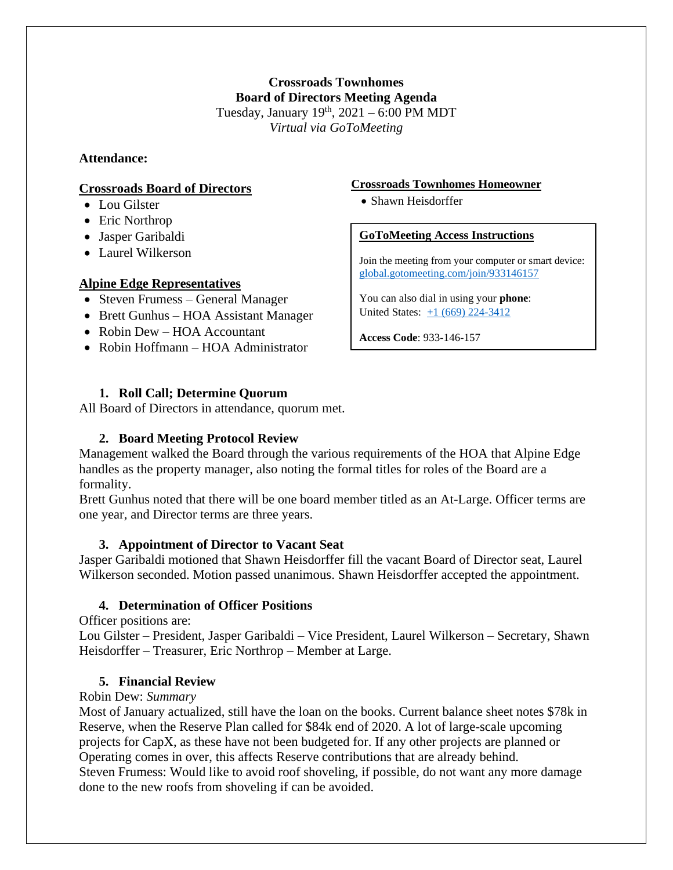**Crossroads Townhomes Board of Directors Meeting Agenda** Tuesday, January  $19<sup>th</sup>$ ,  $2021 - 6:00$  PM MDT *Virtual via GoToMeeting*

### **Attendance:**

#### **Crossroads Board of Directors**

- Lou Gilster
- Eric Northrop
- Jasper Garibaldi
- Laurel Wilkerson

### **Alpine Edge Representatives**

- Steven Frumess General Manager
- Brett Gunhus HOA Assistant Manager
- Robin Dew HOA Accountant
- Robin Hoffmann HOA Administrator

## **1. Roll Call; Determine Quorum**

All Board of Directors in attendance, quorum met.

## **2. Board Meeting Protocol Review**

Management walked the Board through the various requirements of the HOA that Alpine Edge handles as the property manager, also noting the formal titles for roles of the Board are a formality.

Brett Gunhus noted that there will be one board member titled as an At-Large. Officer terms are one year, and Director terms are three years.

### **3. Appointment of Director to Vacant Seat**

Jasper Garibaldi motioned that Shawn Heisdorffer fill the vacant Board of Director seat, Laurel Wilkerson seconded. Motion passed unanimous. Shawn Heisdorffer accepted the appointment.

### **4. Determination of Officer Positions**

Officer positions are:

Lou Gilster – President, Jasper Garibaldi – Vice President, Laurel Wilkerson – Secretary, Shawn Heisdorffer – Treasurer, Eric Northrop – Member at Large.

### **5. Financial Review**

### Robin Dew: *Summary*

Most of January actualized, still have the loan on the books. Current balance sheet notes \$78k in Reserve, when the Reserve Plan called for \$84k end of 2020. A lot of large-scale upcoming projects for CapX, as these have not been budgeted for. If any other projects are planned or Operating comes in over, this affects Reserve contributions that are already behind. Steven Frumess: Would like to avoid roof shoveling, if possible, do not want any more damage done to the new roofs from shoveling if can be avoided.

#### **Crossroads Townhomes Homeowner**

• Shawn Heisdorffer

### **GoToMeeting Access Instructions**

Join the meeting from your computer or smart device: [global.gotomeeting.com/join/933146157](https://global.gotomeeting.com/join/933146157)

You can also dial in using your **phone**: United States: [+1 \(669\) 224-3412](tel:+16692243412,,933146157)

**Access Code**: 933-146-157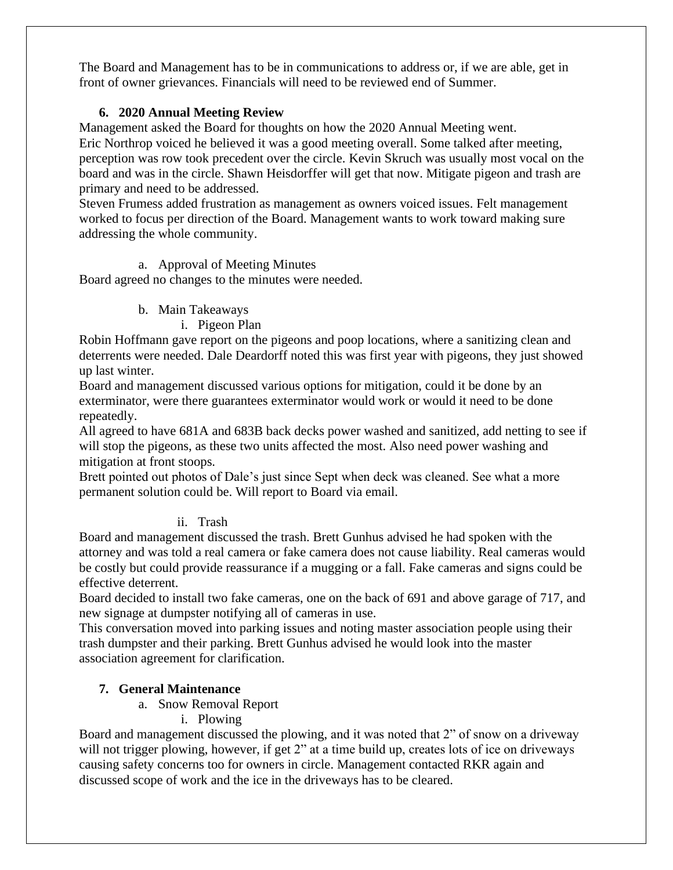The Board and Management has to be in communications to address or, if we are able, get in front of owner grievances. Financials will need to be reviewed end of Summer.

## **6. 2020 Annual Meeting Review**

Management asked the Board for thoughts on how the 2020 Annual Meeting went.

Eric Northrop voiced he believed it was a good meeting overall. Some talked after meeting, perception was row took precedent over the circle. Kevin Skruch was usually most vocal on the board and was in the circle. Shawn Heisdorffer will get that now. Mitigate pigeon and trash are primary and need to be addressed.

Steven Frumess added frustration as management as owners voiced issues. Felt management worked to focus per direction of the Board. Management wants to work toward making sure addressing the whole community.

## a. Approval of Meeting Minutes

Board agreed no changes to the minutes were needed.

## b. Main Takeaways

## i. Pigeon Plan

Robin Hoffmann gave report on the pigeons and poop locations, where a sanitizing clean and deterrents were needed. Dale Deardorff noted this was first year with pigeons, they just showed up last winter.

Board and management discussed various options for mitigation, could it be done by an exterminator, were there guarantees exterminator would work or would it need to be done repeatedly.

All agreed to have 681A and 683B back decks power washed and sanitized, add netting to see if will stop the pigeons, as these two units affected the most. Also need power washing and mitigation at front stoops.

Brett pointed out photos of Dale's just since Sept when deck was cleaned. See what a more permanent solution could be. Will report to Board via email.

# ii. Trash

Board and management discussed the trash. Brett Gunhus advised he had spoken with the attorney and was told a real camera or fake camera does not cause liability. Real cameras would be costly but could provide reassurance if a mugging or a fall. Fake cameras and signs could be effective deterrent.

Board decided to install two fake cameras, one on the back of 691 and above garage of 717, and new signage at dumpster notifying all of cameras in use.

This conversation moved into parking issues and noting master association people using their trash dumpster and their parking. Brett Gunhus advised he would look into the master association agreement for clarification.

# **7. General Maintenance**

- a. Snow Removal Report
	- i. Plowing

Board and management discussed the plowing, and it was noted that 2" of snow on a driveway will not trigger plowing, however, if get 2" at a time build up, creates lots of ice on driveways causing safety concerns too for owners in circle. Management contacted RKR again and discussed scope of work and the ice in the driveways has to be cleared.